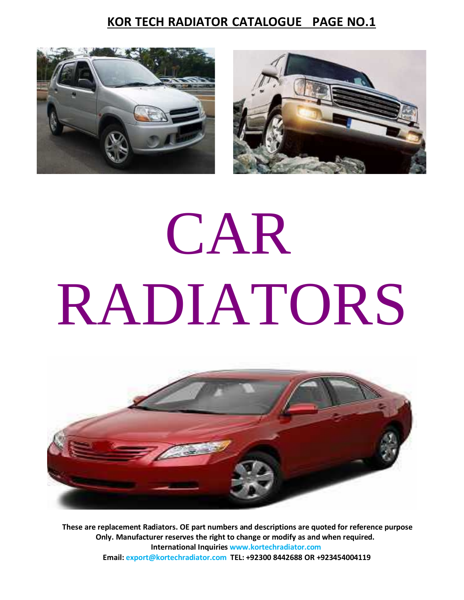



# CAR RADIATORS



**These are replacement Radiators. OE part numbers and descriptions are quoted for reference purpose Only. Manufacturer reserves the right to change ormodify as and when required. International Inquiries www.kortechradiator.com Email: export@kortechradiator.com TEL: +92300 8442688 OR +923454004119**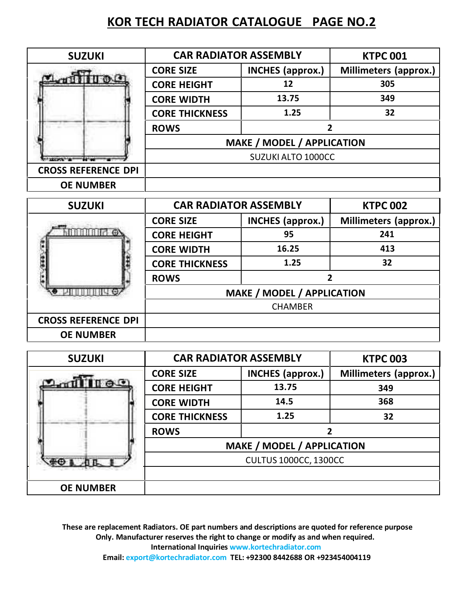| <b>SUZUKI</b>              |                                                                   | <b>CAR RADIATOR ASSEMBLY</b>      | <b>KTPC 001</b>              |
|----------------------------|-------------------------------------------------------------------|-----------------------------------|------------------------------|
|                            | <b>CORE SIZE</b>                                                  | <b>INCHES</b> (approx.)           | Millimeters (approx.)        |
| <b>Allinge</b>             | <b>CORE HEIGHT</b>                                                | 12                                | 305                          |
|                            | <b>CORE WIDTH</b>                                                 | 13.75                             | 349                          |
|                            | <b>CORE THICKNESS</b>                                             | 1.25                              | 32                           |
|                            | <b>ROWS</b><br>2                                                  |                                   |                              |
|                            |                                                                   | <b>MAKE / MODEL / APPLICATION</b> |                              |
|                            |                                                                   | <b>SUZUKI ALTO 1000CC</b>         |                              |
| <b>CROSS REFERENCE DPI</b> |                                                                   |                                   |                              |
| <b>OE NUMBER</b>           |                                                                   |                                   |                              |
| <b>SUZUKI</b>              |                                                                   | <b>CAR RADIATOR ASSEMBLY</b>      | <b>KTPC 002</b>              |
|                            | <b>CORE SIZE</b>                                                  | <b>INCHES</b> (approx.)           | Millimeters (approx.)        |
| innimiri e                 | <b>CORE HEIGHT</b>                                                | 95                                | 241                          |
|                            | <b>CORE WIDTH</b>                                                 | 16.25                             | 413                          |
|                            | <b>CORE THICKNESS</b>                                             | 1.25                              | 32                           |
|                            | $\overline{2}$<br><b>ROWS</b>                                     |                                   |                              |
|                            |                                                                   | <b>MAKE / MODEL / APPLICATION</b> |                              |
|                            |                                                                   |                                   |                              |
| <b>CROSS REFERENCE DPI</b> |                                                                   |                                   |                              |
| <b>OE NUMBER</b>           |                                                                   |                                   |                              |
| <b>SUZUKI</b>              | <b>CAR RADIATOR ASSEMBLY</b>                                      |                                   | <b>KTPC 003</b>              |
|                            | <b>CORE SIZE</b>                                                  | <b>INCHES (approx.)</b>           | <b>Millimeters (approx.)</b> |
| $O$ on the time            | <b>CORE HEIGHT</b>                                                | 13.75                             | 349                          |
|                            | <b>CORE WIDTH</b>                                                 | 14.5                              | 368                          |
|                            | <b>CORE THICKNESS</b>                                             | 1.25                              | 32                           |
|                            | <b>ROWS</b>                                                       | $\overline{2}$                    |                              |
|                            | <b>MAKE / MODEL / APPLICATION</b><br><b>CULTUS 1000CC, 1300CC</b> |                                   |                              |
| <b>COLLEL</b>              |                                                                   |                                   |                              |
|                            |                                                                   |                                   |                              |
| <b>OE NUMBER</b>           |                                                                   |                                   |                              |

**These are replacement Radiators. OE part numbers and descriptions are quoted for reference purpose Only. Manufacturer reserves the right to change ormodify as and when required. International Inquiries www.kortechradiator.com Email: export@kortechradiator.com TEL: +92300 8442688 OR +923454004119**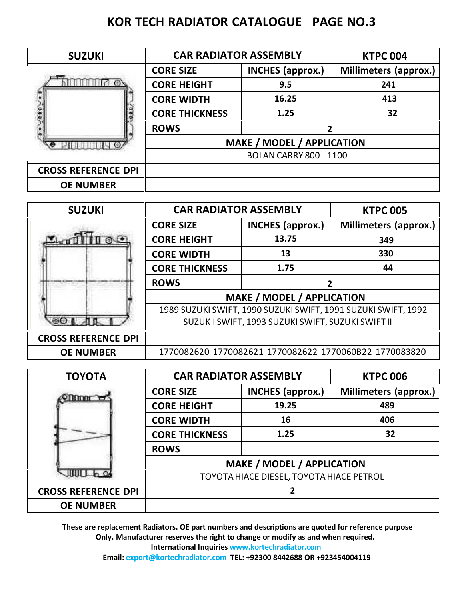| <b>SUZUKI</b>              | <b>CAR RADIATOR ASSEMBLY</b>      | <b>KTPC 004</b>               |                              |  |
|----------------------------|-----------------------------------|-------------------------------|------------------------------|--|
|                            | <b>CORE SIZE</b>                  | <b>INCHES</b> (approx.)       | <b>Millimeters (approx.)</b> |  |
|                            | <b>CORE HEIGHT</b>                | 9.5                           | 241                          |  |
|                            | <b>CORE WIDTH</b>                 | 16.25                         | 413                          |  |
|                            | <b>CORE THICKNESS</b>             | 1.25                          | 32                           |  |
|                            | <b>ROWS</b>                       |                               |                              |  |
|                            | <b>MAKE / MODEL / APPLICATION</b> |                               |                              |  |
|                            |                                   | <b>BOLAN CARRY 800 - 1100</b> |                              |  |
| <b>CROSS REFERENCE DPI</b> |                                   |                               |                              |  |
| <b>OE NUMBER</b>           |                                   |                               |                              |  |

| <b>SUZUKI</b>              | <b>CAR RADIATOR ASSEMBLY</b>                           |                                   | <b>KTPC 005</b>                                               |
|----------------------------|--------------------------------------------------------|-----------------------------------|---------------------------------------------------------------|
|                            | <b>CORE SIZE</b>                                       | <b>INCHES (approx.)</b>           | <b>Millimeters (approx.)</b>                                  |
|                            | <b>CORE HEIGHT</b>                                     | 13.75                             | 349                                                           |
|                            | <b>CORE WIDTH</b>                                      | 13                                | 330                                                           |
|                            | <b>CORE THICKNESS</b>                                  | 1.75                              | 44                                                            |
|                            | <b>ROWS</b>                                            |                                   |                                                               |
|                            |                                                        | <b>MAKE / MODEL / APPLICATION</b> |                                                               |
|                            |                                                        |                                   | 1989 SUZUKI SWIFT, 1990 SUZUKI SWIFT, 1991 SUZUKI SWIFT, 1992 |
|                            | SUZUK I SWIFT, 1993 SUZUKI SWIFT, SUZUKI SWIFT II      |                                   |                                                               |
| <b>CROSS REFERENCE DPI</b> |                                                        |                                   |                                                               |
| <b>OE NUMBER</b>           | 1770082620 1770082621 1770082622 1770060B22 1770083820 |                                   |                                                               |

| <b>TOYOTA</b>              | <b>CAR RADIATOR ASSEMBLY</b>             |                         | <b>KTPC 006</b>       |  |
|----------------------------|------------------------------------------|-------------------------|-----------------------|--|
|                            | <b>CORE SIZE</b>                         | <b>INCHES</b> (approx.) | Millimeters (approx.) |  |
|                            | <b>CORE HEIGHT</b>                       | 19.25                   | 489                   |  |
|                            | <b>CORE WIDTH</b>                        | 16                      | 406                   |  |
|                            | <b>CORE THICKNESS</b>                    | 1.25                    | 32                    |  |
|                            | <b>ROWS</b>                              |                         |                       |  |
|                            | <b>MAKE / MODEL / APPLICATION</b>        |                         |                       |  |
|                            | TOYOTA HIACE DIESEL, TOYOTA HIACE PETROL |                         |                       |  |
| <b>CROSS REFERENCE DPI</b> |                                          |                         |                       |  |
| <b>OE NUMBER</b>           |                                          |                         |                       |  |

**These are replacement Radiators. OE part numbers and descriptions are quoted for reference purpose Only. Manufacturer reserves the right to change ormodify as and when required. International Inquiries www.kortechradiator.com**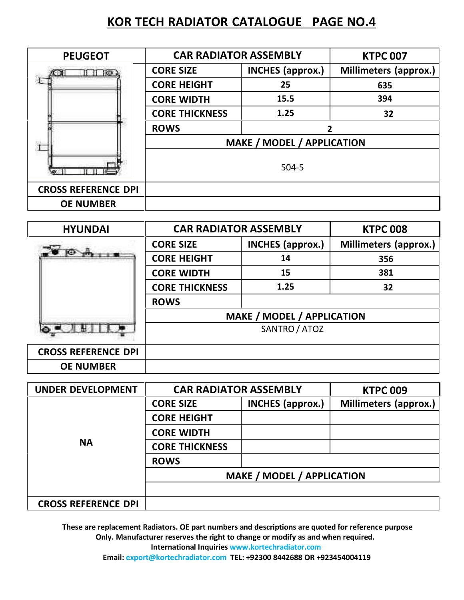| <b>PEUGEOT</b>             | <b>CAR RADIATOR ASSEMBLY</b>      | <b>KTPC 007</b>         |                              |
|----------------------------|-----------------------------------|-------------------------|------------------------------|
|                            | <b>CORE SIZE</b>                  | <b>INCHES</b> (approx.) | <b>Millimeters (approx.)</b> |
|                            | <b>CORE HEIGHT</b>                | 25                      | 635                          |
|                            | <b>CORE WIDTH</b>                 | 15.5                    | 394                          |
|                            | <b>CORE THICKNESS</b>             | 1.25                    | 32                           |
|                            | <b>ROWS</b>                       |                         |                              |
|                            | <b>MAKE / MODEL / APPLICATION</b> |                         |                              |
|                            |                                   |                         |                              |
| <b>CROSS REFERENCE DPI</b> |                                   |                         |                              |
| <b>OE NUMBER</b>           |                                   |                         |                              |

| <b>HYUNDAI</b>             | <b>CAR RADIATOR ASSEMBLY</b>                       |                         | <b>KTPC 008</b>              |  |
|----------------------------|----------------------------------------------------|-------------------------|------------------------------|--|
|                            | <b>CORE SIZE</b>                                   | <b>INCHES (approx.)</b> | <b>Millimeters (approx.)</b> |  |
|                            | <b>CORE HEIGHT</b>                                 | 14                      | 356                          |  |
|                            | <b>CORE WIDTH</b>                                  | 15                      | 381                          |  |
|                            | <b>CORE THICKNESS</b>                              | 1.25                    | 32                           |  |
|                            | <b>ROWS</b>                                        |                         |                              |  |
|                            | <b>MAKE / MODEL / APPLICATION</b><br>SANTRO / ATOZ |                         |                              |  |
|                            |                                                    |                         |                              |  |
| <b>CROSS REFERENCE DPI</b> |                                                    |                         |                              |  |
| <b>OE NUMBER</b>           |                                                    |                         |                              |  |

| <b>UNDER DEVELOPMENT</b>   | <b>CAR RADIATOR ASSEMBLY</b>      |                         | <b>KTPC 009</b>       |  |
|----------------------------|-----------------------------------|-------------------------|-----------------------|--|
|                            | <b>CORE SIZE</b>                  | <b>INCHES</b> (approx.) | Millimeters (approx.) |  |
|                            | <b>CORE HEIGHT</b>                |                         |                       |  |
|                            | <b>CORE WIDTH</b>                 |                         |                       |  |
| <b>NA</b>                  | <b>CORE THICKNESS</b>             |                         |                       |  |
|                            | <b>ROWS</b>                       |                         |                       |  |
|                            | <b>MAKE / MODEL / APPLICATION</b> |                         |                       |  |
|                            |                                   |                         |                       |  |
| <b>CROSS REFERENCE DPI</b> |                                   |                         |                       |  |

**These are replacement Radiators. OE part numbers and descriptions are quoted for reference purpose Only. Manufacturer reserves the right to change ormodify as and when required. International Inquiries www.kortechradiator.com**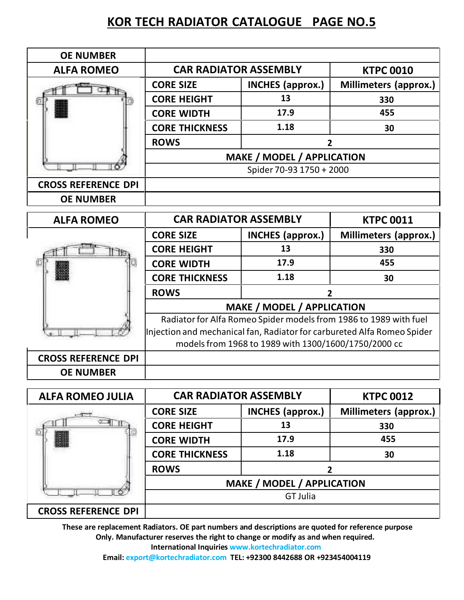| <b>OE NUMBER</b>           |                                                                         |                                   |                              |  |
|----------------------------|-------------------------------------------------------------------------|-----------------------------------|------------------------------|--|
| <b>ALFA ROMEO</b>          | <b>CAR RADIATOR ASSEMBLY</b>                                            |                                   | <b>KTPC 0010</b>             |  |
|                            | <b>CORE SIZE</b>                                                        | <b>INCHES (approx.)</b>           | <b>Millimeters (approx.)</b> |  |
|                            | <b>CORE HEIGHT</b>                                                      | 13                                | 330                          |  |
|                            | <b>CORE WIDTH</b>                                                       | 17.9                              | 455                          |  |
|                            | <b>CORE THICKNESS</b>                                                   | 1.18                              | 30                           |  |
|                            | <b>ROWS</b>                                                             | 2                                 |                              |  |
|                            |                                                                         | <b>MAKE / MODEL / APPLICATION</b> |                              |  |
|                            |                                                                         | Spider 70-93 1750 + 2000          |                              |  |
| <b>CROSS REFERENCE DPI</b> |                                                                         |                                   |                              |  |
| <b>OE NUMBER</b>           |                                                                         |                                   |                              |  |
| <b>ALFA ROMEO</b>          | <b>CAR RADIATOR ASSEMBLY</b><br><b>KTPC 0011</b>                        |                                   |                              |  |
|                            | <b>CORE SIZE</b>                                                        | <b>INCHES</b> (approx.)           | <b>Millimeters (approx.)</b> |  |
|                            | <b>CORE HEIGHT</b>                                                      | 13                                | 330                          |  |
|                            | <b>CORE WIDTH</b>                                                       | 17.9                              | 455                          |  |
|                            | <b>CORE THICKNESS</b>                                                   | 1.18                              | 30                           |  |
|                            | <b>ROWS</b><br>2                                                        |                                   |                              |  |
|                            | <b>MAKE / MODEL / APPLICATION</b>                                       |                                   |                              |  |
|                            | Radiator for Alfa Romeo Spider models from 1986 to 1989 with fuel       |                                   |                              |  |
|                            | Injection and mechanical fan, Radiator for carbureted Alfa Romeo Spider |                                   |                              |  |
|                            | models from 1968 to 1989 with 1300/1600/1750/2000 cc                    |                                   |                              |  |
|                            |                                                                         |                                   |                              |  |
| <b>CROSS REFERENCE DPI</b> |                                                                         |                                   |                              |  |

| <b>ALFA ROMEO JULIA</b>    | <b>CAR RADIATOR ASSEMBLY</b>      |                         | <b>KTPC 0012</b>      |
|----------------------------|-----------------------------------|-------------------------|-----------------------|
|                            | <b>CORE SIZE</b>                  | <b>INCHES</b> (approx.) | Millimeters (approx.) |
|                            | <b>CORE HEIGHT</b>                | 13                      | 330                   |
|                            | <b>CORE WIDTH</b>                 | 17.9                    | 455                   |
|                            | <b>CORE THICKNESS</b>             | 1.18                    | 30                    |
|                            | <b>ROWS</b>                       |                         |                       |
|                            | <b>MAKE / MODEL / APPLICATION</b> |                         |                       |
|                            |                                   |                         |                       |
| <b>CROSS REFERENCE DPI</b> |                                   |                         |                       |

**These are replacement Radiators. OE part numbers and descriptions are quoted for reference purpose Only. Manufacturer reserves the right to change ormodify as and when required. International Inquiries www.kortechradiator.com**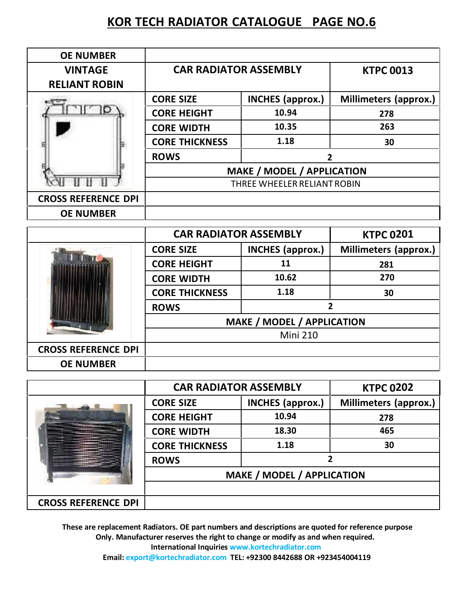| <b>OE NUMBER</b>                       |                                   |                         |                              |
|----------------------------------------|-----------------------------------|-------------------------|------------------------------|
| <b>VINTAGE</b><br><b>RELIANT ROBIN</b> | <b>CAR RADIATOR ASSEMBLY</b>      |                         | <b>KTPC 0013</b>             |
|                                        | <b>CORE SIZE</b>                  | <b>INCHES</b> (approx.) | <b>Millimeters (approx.)</b> |
|                                        | <b>CORE HEIGHT</b>                | 10.94                   | 278                          |
|                                        | <b>CORE WIDTH</b>                 | 10.35                   | 263                          |
|                                        | <b>CORE THICKNESS</b>             | 1.18                    | 30                           |
|                                        | <b>ROWS</b><br>2                  |                         |                              |
|                                        | <b>MAKE / MODEL / APPLICATION</b> |                         |                              |
|                                        | THREE WHEELER RELIANT ROBIN       |                         |                              |
| <b>CROSS REFERENCE DPI</b>             |                                   |                         |                              |
| <b>OE NUMBER</b>                       |                                   |                         |                              |

|                            | <b>CAR RADIATOR ASSEMBLY</b>      |                         | <b>KTPC 0201</b>             |
|----------------------------|-----------------------------------|-------------------------|------------------------------|
|                            | <b>CORE SIZE</b>                  | <b>INCHES</b> (approx.) | <b>Millimeters (approx.)</b> |
|                            | <b>CORE HEIGHT</b>                | 11                      | 281                          |
|                            | <b>CORE WIDTH</b>                 | 10.62                   | 270                          |
|                            | <b>CORE THICKNESS</b>             | 1.18                    | 30                           |
|                            | <b>ROWS</b>                       | 2                       |                              |
|                            | <b>MAKE / MODEL / APPLICATION</b> |                         |                              |
|                            | <b>Mini 210</b>                   |                         |                              |
| <b>CROSS REFERENCE DPI</b> |                                   |                         |                              |
| <b>OE NUMBER</b>           |                                   |                         |                              |

|                            | <b>CAR RADIATOR ASSEMBLY</b> |                                   | <b>KTPC 0202</b>      |  |
|----------------------------|------------------------------|-----------------------------------|-----------------------|--|
|                            | <b>CORE SIZE</b>             | <b>INCHES</b> (approx.)           | Millimeters (approx.) |  |
|                            | <b>CORE HEIGHT</b>           | 10.94                             | 278                   |  |
|                            | <b>CORE WIDTH</b>            | 18.30                             | 465                   |  |
|                            | <b>CORE THICKNESS</b>        | 1.18                              | 30                    |  |
|                            | <b>ROWS</b>                  |                                   |                       |  |
|                            |                              | <b>MAKE / MODEL / APPLICATION</b> |                       |  |
|                            |                              |                                   |                       |  |
| <b>CROSS REFERENCE DPI</b> |                              |                                   |                       |  |

**These are replacement Radiators. OE part numbers and descriptions are quoted for reference purpose Only. Manufacturer reserves the right to change ormodify as and when required. International Inquiries www.kortechradiator.com**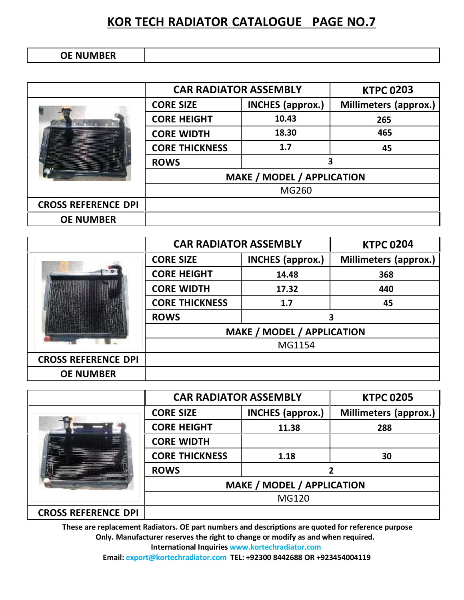| <b>OE NUMBER</b> |  |
|------------------|--|
|------------------|--|

|                            | <b>CAR RADIATOR ASSEMBLY</b>      |                         | <b>KTPC 0203</b>             |
|----------------------------|-----------------------------------|-------------------------|------------------------------|
|                            | <b>CORE SIZE</b>                  | <b>INCHES</b> (approx.) | <b>Millimeters (approx.)</b> |
|                            | <b>CORE HEIGHT</b>                | 10.43                   | 265                          |
|                            | <b>CORE WIDTH</b>                 | 18.30                   | 465                          |
|                            | <b>CORE THICKNESS</b>             | 1.7                     | 45                           |
|                            | <b>ROWS</b>                       | 3                       |                              |
|                            | <b>MAKE / MODEL / APPLICATION</b> |                         |                              |
|                            | MG260                             |                         |                              |
| <b>CROSS REFERENCE DPI</b> |                                   |                         |                              |
| <b>OE NUMBER</b>           |                                   |                         |                              |

|                            | <b>CAR RADIATOR ASSEMBLY</b>      |                         | <b>KTPC 0204</b>             |
|----------------------------|-----------------------------------|-------------------------|------------------------------|
|                            | <b>CORE SIZE</b>                  | <b>INCHES</b> (approx.) | <b>Millimeters (approx.)</b> |
|                            | <b>CORE HEIGHT</b>                | 14.48                   | 368                          |
|                            | <b>CORE WIDTH</b>                 | 17.32                   | 440                          |
|                            | <b>CORE THICKNESS</b>             | 1.7                     | 45                           |
|                            | <b>ROWS</b>                       | 2                       |                              |
|                            | <b>MAKE / MODEL / APPLICATION</b> |                         |                              |
|                            | MG1154                            |                         |                              |
| <b>CROSS REFERENCE DPI</b> |                                   |                         |                              |
| <b>OE NUMBER</b>           |                                   |                         |                              |

|                            | <b>CAR RADIATOR ASSEMBLY</b>      |                         | <b>KTPC 0205</b>             |
|----------------------------|-----------------------------------|-------------------------|------------------------------|
|                            | <b>CORE SIZE</b>                  | <b>INCHES</b> (approx.) | <b>Millimeters (approx.)</b> |
|                            | <b>CORE HEIGHT</b>                | 11.38                   | 288                          |
|                            | <b>CORE WIDTH</b>                 |                         |                              |
|                            | <b>CORE THICKNESS</b>             | 1.18                    | 30                           |
|                            | <b>ROWS</b>                       |                         |                              |
|                            | <b>MAKE / MODEL / APPLICATION</b> |                         |                              |
|                            | MG120                             |                         |                              |
| <b>CROSS REFERENCE DPI</b> |                                   |                         |                              |

**These are replacement Radiators. OE part numbers and descriptions are quoted for reference purpose Only. Manufacturer reserves the right to change ormodify as and when required. International Inquiries www.kortechradiator.com**